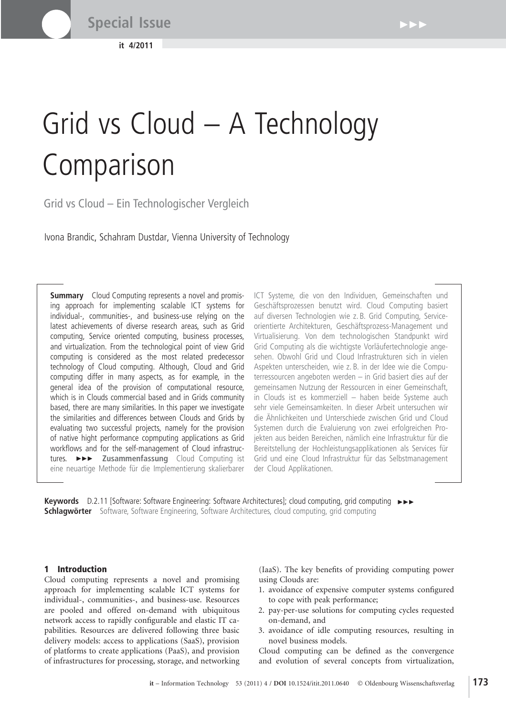**it 4/2011**

# $\blacktriangleright$

# Grid vs Cloud – A Technology **Comparison**

Grid vs Cloud – Ein Technologischer Vergleich

Ivona Brandic, Schahram Dustdar, Vienna University of Technology

**Summary** Cloud Computing represents a novel and promising approach for implementing scalable ICT systems for individual-, communities-, and business-use relying on the latest achievements of diverse research areas, such as Grid computing, Service oriented computing, business processes, and virtualization. From the technological point of view Grid computing is considered as the most related predecessor technology of Cloud computing. Although, Cloud and Grid computing differ in many aspects, as for example, in the general idea of the provision of computational resource, which is in Clouds commercial based and in Grids community based, there are many similarities. In this paper we investigate the similarities and differences between Clouds and Grids by evaluating two successful projects, namely for the provision of native hight performance copmputing applications as Grid workflows and for the self-management of Cloud infrastructures.  $\rightarrow\rightarrow$  **Zusammenfassung** Cloud Computing ist eine neuartige Methode für die Implementierung skalierbarer ICT Systeme, die von den Individuen, Gemeinschaften und Geschäftsprozessen benutzt wird. Cloud Computing basiert auf diversen Technologien wie z. B. Grid Computing, Serviceorientierte Architekturen, Geschäftsprozess-Management und Virtualisierung. Von dem technologischen Standpunkt wird Grid Computing als die wichtigste Vorläufertechnologie angesehen. Obwohl Grid und Cloud Infrastrukturen sich in vielen Aspekten unterscheiden, wie z. B. in der Idee wie die Computerressourcen angeboten werden – in Grid basiert dies auf der gemeinsamen Nutzung der Ressourcen in einer Gemeinschaft, in Clouds ist es kommerziell – haben beide Systeme auch sehr viele Gemeinsamkeiten. In dieser Arbeit untersuchen wir die Ähnlichkeiten und Unterschiede zwischen Grid und Cloud Systemen durch die Evaluierung von zwei erfolgreichen Projekten aus beiden Bereichen, nämlich eine Infrastruktur für die Bereitstellung der Hochleistungsapplikationen als Services für Grid und eine Cloud Infrastruktur für das Selbstmanagement der Cloud Applikationen.

Keywords D.2.11 [Software: Software Engineering: Software Architectures]; cloud computing, grid computing  $\rightarrow\rightarrow$ **Schlagwörter** Software, Software Engineering, Software Architectures, cloud computing, grid computing

## 1 Introduction

Cloud computing represents a novel and promising approach for implementing scalable ICT systems for individual-, communities-, and business-use. Resources are pooled and offered on-demand with ubiquitous network access to rapidly configurable and elastic IT capabilities. Resources are delivered following three basic delivery models: access to applications (SaaS), provision of platforms to create applications (PaaS), and provision of infrastructures for processing, storage, and networking

(IaaS). The key benefits of providing computing power using Clouds are:

- 1. avoidance of expensive computer systems configured to cope with peak performance;
- 2. pay-per-use solutions for computing cycles requested on-demand, and
- 3. avoidance of idle computing resources, resulting in novel business models.

Cloud computing can be defined as the convergence and evolution of several concepts from virtualization,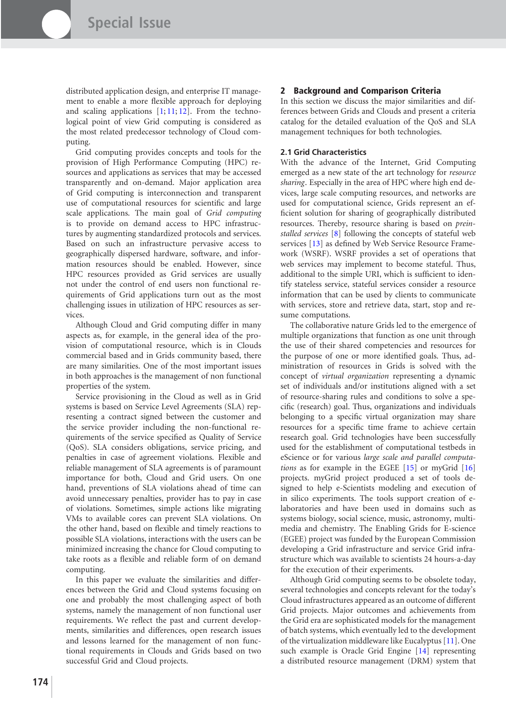distributed application design, and enterprise IT management to enable a more flexible approach for deploying and scaling applications  $[1; 11; 12]$  $[1; 11; 12]$  $[1; 11; 12]$  $[1; 11; 12]$  $[1; 11; 12]$ . From the technological point of view Grid computing is considered as the most related predecessor technology of Cloud computing.

Grid computing provides concepts and tools for the provision of High Performance Computing (HPC) resources and applications as services that may be accessed transparently and on-demand. Major application area of Grid computing is interconnection and transparent use of computational resources for scientific and large scale applications. The main goal of *Grid computing* is to provide on demand access to HPC infrastructures by augmenting standardized protocols and services. Based on such an infrastructure pervasive access to geographically dispersed hardware, software, and information resources should be enabled. However, since HPC resources provided as Grid services are usually not under the control of end users non functional requirements of Grid applications turn out as the most challenging issues in utilization of HPC resources as services.

Although Cloud and Grid computing differ in many aspects as, for example, in the general idea of the provision of computational resource, which is in Clouds commercial based and in Grids community based, there are many similarities. One of the most important issues in both approaches is the management of non functional properties of the system.

Service provisioning in the Cloud as well as in Grid systems is based on Service Level Agreements (SLA) representing a contract signed between the customer and the service provider including the non-functional requirements of the service specified as Quality of Service (QoS). SLA considers obligations, service pricing, and penalties in case of agreement violations. Flexible and reliable management of SLA agreements is of paramount importance for both, Cloud and Grid users. On one hand, preventions of SLA violations ahead of time can avoid unnecessary penalties, provider has to pay in case of violations. Sometimes, simple actions like migrating VMs to available cores can prevent SLA violations. On the other hand, based on flexible and timely reactions to possible SLA violations, interactions with the users can be minimized increasing the chance for Cloud computing to take roots as a flexible and reliable form of on demand computing.

In this paper we evaluate the similarities and differences between the Grid and Cloud systems focusing on one and probably the most challenging aspect of both systems, namely the management of non functional user requirements. We reflect the past and current developments, similarities and differences, open research issues and lessons learned for the management of non functional requirements in Clouds and Grids based on two successful Grid and Cloud projects.

### 2 Background and Comparison Criteria

In this section we discuss the major similarities and differences between Grids and Clouds and present a criteria catalog for the detailed evaluation of the QoS and SLA management techniques for both technologies.

#### **2.1 Grid Characteristics**

With the advance of the Internet, Grid Computing emerged as a new state of the art technology for *resource sharing*. Especially in the area of HPC where high end devices, large scale computing resources, and networks are used for computational science, Grids represent an efficient solution for sharing of geographically distributed resources. Thereby, resource sharing is based on *preinstalled services* [\[8\]](#page-6-3) following the concepts of stateful web services [\[13\]](#page-6-4) as defined by Web Service Resource Framework (WSRF). WSRF provides a set of operations that web services may implement to become stateful. Thus, additional to the simple URI, which is sufficient to identify stateless service, stateful services consider a resource information that can be used by clients to communicate with services, store and retrieve data, start, stop and resume computations.

The collaborative nature Grids led to the emergence of multiple organizations that function as one unit through the use of their shared competencies and resources for the purpose of one or more identified goals. Thus, administration of resources in Grids is solved with the concept of *virtual organization* representing a dynamic set of individuals and/or institutions aligned with a set of resource-sharing rules and conditions to solve a specific (research) goal. Thus, organizations and individuals belonging to a specific virtual organization may share resources for a specific time frame to achieve certain research goal. Grid technologies have been successfully used for the establishment of computational testbeds in eScience or for various *large scale and parallel computations* as for example in the EGEE [\[15\]](#page-6-5) or myGrid [\[16\]](#page-6-6) projects. myGrid project produced a set of tools designed to help e-Scientists modeling and execution of in silico experiments. The tools support creation of elaboratories and have been used in domains such as systems biology, social science, music, astronomy, multimedia and chemistry. The Enabling Grids for E-science (EGEE) project was funded by the European Commission developing a Grid infrastructure and service Grid infrastructure which was available to scientists 24 hours-a-day for the execution of their experiments.

Although Grid computing seems to be obsolete today, several technologies and concepts relevant for the today's Cloud infrastructures appeared as an outcome of different Grid projects. Major outcomes and achievements from the Grid era are sophisticated models for the management of batch systems, which eventually led to the development of the virtualization middleware like Eucalyptus [\[11\]](#page-6-1). One such example is Oracle Grid Engine [\[14\]](#page-6-7) representing a distributed resource management (DRM) system that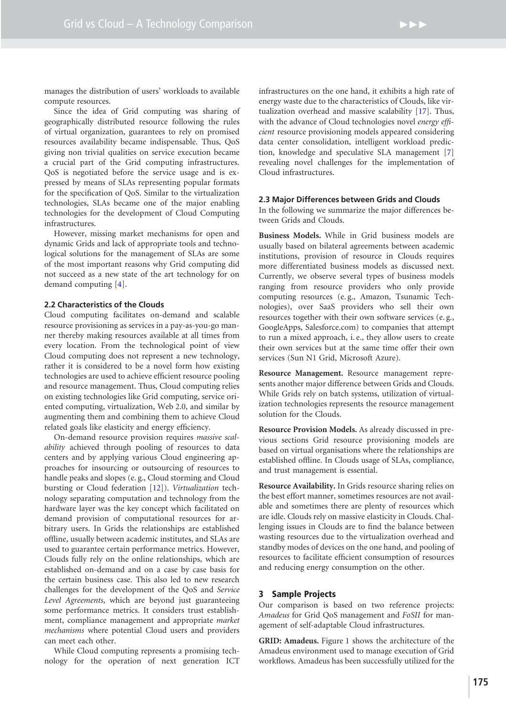manages the distribution of users' workloads to available compute resources.

Since the idea of Grid computing was sharing of geographically distributed resource following the rules of virtual organization, guarantees to rely on promised resources availability became indispensable. Thus, QoS giving non trivial qualities on service execution became a crucial part of the Grid computing infrastructures. QoS is negotiated before the service usage and is expressed by means of SLAs representing popular formats for the specification of QoS. Similar to the virtualization technologies, SLAs became one of the major enabling technologies for the development of Cloud Computing infrastructures.

However, missing market mechanisms for open and dynamic Grids and lack of appropriate tools and technological solutions for the management of SLAs are some of the most important reasons why Grid computing did not succeed as a new state of the art technology for on demand computing [\[4\]](#page-6-8).

# **2.2 Characteristics of the Clouds**

Cloud computing facilitates on-demand and scalable resource provisioning as services in a pay-as-you-go manner thereby making resources available at all times from every location. From the technological point of view Cloud computing does not represent a new technology, rather it is considered to be a novel form how existing technologies are used to achieve efficient resource pooling and resource management. Thus, Cloud computing relies on existing technologies like Grid computing, service oriented computing, virtualization, Web 2.0, and similar by augmenting them and combining them to achieve Cloud related goals like elasticity and energy efficiency.

On-demand resource provision requires *massive scalability* achieved through pooling of resources to data centers and by applying various Cloud engineering approaches for insourcing or outsourcing of resources to handle peaks and slopes (e. g., Cloud storming and Cloud bursting or Cloud federation [\[12\]](#page-6-2)). *Virtualization* technology separating computation and technology from the hardware layer was the key concept which facilitated on demand provision of computational resources for arbitrary users. In Grids the relationships are established offline, usually between academic institutes, and SLAs are used to guarantee certain performance metrics. However, Clouds fully rely on the online relationships, which are established on-demand and on a case by case basis for the certain business case. This also led to new research challenges for the development of the QoS and *Service Level Agreements*, which are beyond just guaranteeing some performance metrics. It considers trust establishment, compliance management and appropriate *market mechanisms* where potential Cloud users and providers can meet each other.

While Cloud computing represents a promising technology for the operation of next generation ICT infrastructures on the one hand, it exhibits a high rate of energy waste due to the characteristics of Clouds, like virtualization overhead and massive scalability [\[17\]](#page-6-9). Thus, with the advance of Cloud technologies novel *energy efficient* resource provisioning models appeared considering data center consolidation, intelligent workload prediction, knowledge and speculative SLA management [\[7\]](#page-6-10) revealing novel challenges for the implementation of Cloud infrastructures.

#### **2.3 Major Differences between Grids and Clouds**

In the following we summarize the major differences between Grids and Clouds.

**Business Models.** While in Grid business models are usually based on bilateral agreements between academic institutions, provision of resource in Clouds requires more differentiated business models as discussed next. Currently, we observe several types of business models ranging from resource providers who only provide computing resources (e. g., Amazon, Tsunamic Technologies), over SaaS providers who sell their own resources together with their own software services (e. g., GoogleApps, Salesforce.com) to companies that attempt to run a mixed approach, i. e., they allow users to create their own services but at the same time offer their own services (Sun N1 Grid, Microsoft Azure).

**Resource Management.** Resource management represents another major difference between Grids and Clouds. While Grids rely on batch systems, utilization of virtualization technologies represents the resource management solution for the Clouds.

**Resource Provision Models.** As already discussed in previous sections Grid resource provisioning models are based on virtual organisations where the relationships are established offline. In Clouds usage of SLAs, compliance, and trust management is essential.

**Resource Availability.** In Grids resource sharing relies on the best effort manner, sometimes resources are not available and sometimes there are plenty of resources which are idle. Clouds rely on massive elasticity in Clouds. Challenging issues in Clouds are to find the balance between wasting resources due to the virtualization overhead and standby modes of devices on the one hand, and pooling of resources to facilitate efficient consumption of resources and reducing energy consumption on the other.

#### 3 Sample Projects

Our comparison is based on two reference projects: *Amadeus* for Grid QoS management and *FoSII* for management of self-adaptable Cloud infrastructures.

**GRID: Amadeus.** Figure [1](#page-3-0) shows the architecture of the Amadeus environment used to manage execution of Grid workflows. Amadeus has been successfully utilized for the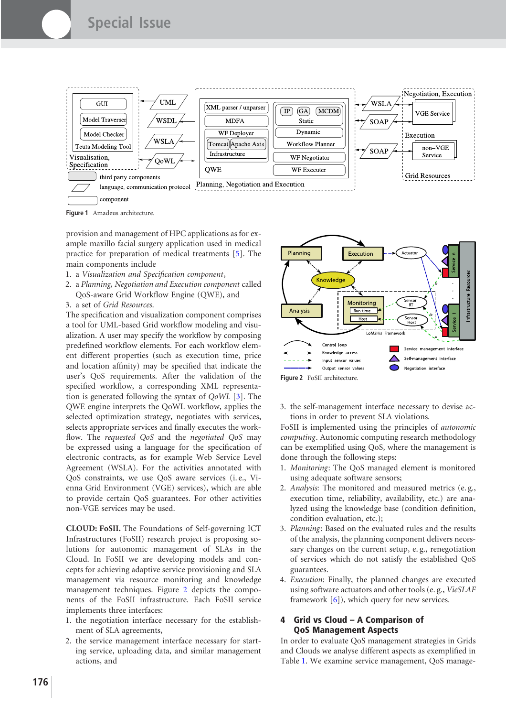

<span id="page-3-0"></span>**Figure 1** Amadeus architecture.

provision and management of HPC applications as for example maxillo facial surgery application used in medical practice for preparation of medical treatments [\[5\]](#page-6-11). The main components include

- 1. a *Visualization and Specification component*,
- 2. a *Planning, Negotiation and Execution component* called QoS-aware Grid Workflow Engine (QWE), and
- 3. a set of *Grid Resources*.

The specification and visualization component comprises a tool for UML-based Grid workflow modeling and visualization. A user may specify the workflow by composing predefined workflow elements. For each workflow element different properties (such as execution time, price and location affinity) may be specified that indicate the user's QoS requirements. After the validation of the specified workflow, a corresponding XML representation is generated following the syntax of *QoWL* [\[3\]](#page-6-12). The QWE engine interprets the QoWL workflow, applies the selected optimization strategy, negotiates with services, selects appropriate services and finally executes the workflow. The *requested QoS* and the *negotiated QoS* may be expressed using a language for the specification of electronic contracts, as for example Web Service Level Agreement (WSLA). For the activities annotated with QoS constraints, we use QoS aware services (i. e., Vienna Grid Environment (VGE) services), which are able to provide certain QoS guarantees. For other activities non-VGE services may be used.

**CLOUD: FoSII.** The Foundations of Self-governing ICT Infrastructures (FoSII) research project is proposing solutions for autonomic management of SLAs in the Cloud. In FoSII we are developing models and concepts for achieving adaptive service provisioning and SLA management via resource monitoring and knowledge management techniques. Figure [2](#page-3-1) depicts the components of the FoSII infrastructure. Each FoSII service implements three interfaces:

- 1. the negotiation interface necessary for the establishment of SLA agreements,
- 2. the service management interface necessary for starting service, uploading data, and similar management actions, and



<span id="page-3-1"></span>3. the self-management interface necessary to devise actions in order to prevent SLA violations.

FoSII is implemented using the principles of *autonomic computing*. Autonomic computing research methodology can be exemplified using QoS, where the management is done through the following steps:

- 1. *Monitoring*: The QoS managed element is monitored using adequate software sensors;
- 2. *Analysis*: The monitored and measured metrics (e. g., execution time, reliability, availability, etc.) are analyzed using the knowledge base (condition definition, condition evaluation, etc.);
- 3. *Planning*: Based on the evaluated rules and the results of the analysis, the planning component delivers necessary changes on the current setup, e. g., renegotiation of services which do not satisfy the established QoS guarantees.
- 4. *Execution*: Finally, the planned changes are executed using software actuators and other tools (e. g., *VieSLAF* framework [\[6\]](#page-6-13)), which query for new services.

# 4 Grid vs Cloud – A Comparison of QoS Management Aspects

In order to evaluate QoS management strategies in Grids and Clouds we analyse different aspects as exemplified in Table [1.](#page-4-0) We examine service management, QoS manage-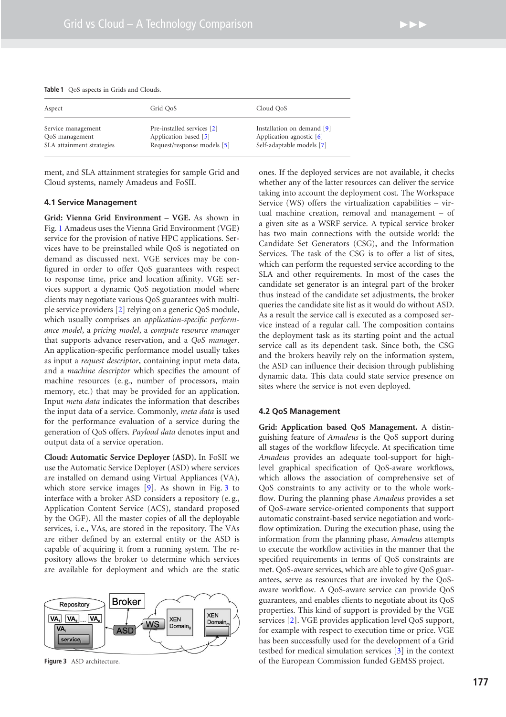| Aspect<br>Service management                | Grid OoS                                                                           | Cloud OoS                                                                             |
|---------------------------------------------|------------------------------------------------------------------------------------|---------------------------------------------------------------------------------------|
|                                             |                                                                                    |                                                                                       |
| QoS management<br>SLA attainment strategies | Pre-installed services [2]<br>Application based [5]<br>Request/response models [5] | Installation on demand [9]<br>Application agnostic $[6]$<br>Self-adaptable models [7] |

<span id="page-4-0"></span>ment, and SLA attainment strategies for sample Grid and Cloud systems, namely Amadeus and FoSII.

#### **4.1 Service Management**

**Grid: Vienna Grid Environment – VGE.** As shown in Fig. [1](#page-3-0) Amadeus uses the Vienna Grid Environment (VGE) service for the provision of native HPC applications. Services have to be preinstalled while QoS is negotiated on demand as discussed next. VGE services may be configured in order to offer QoS guarantees with respect to response time, price and location affinity. VGE services support a dynamic QoS negotiation model where clients may negotiate various QoS guarantees with multiple service providers [\[2\]](#page-6-14) relying on a generic QoS module, which usually comprises an *application-specific performance model*, a *pricing model*, a *compute resource manager* that supports advance reservation, and a *QoS manager*. An application-specific performance model usually takes as input a *request descriptor*, containing input meta data, and a *machine descriptor* which specifies the amount of machine resources (e. g., number of processors, main memory, etc.) that may be provided for an application. Input *meta data* indicates the information that describes the input data of a service. Commonly, *meta data* is used for the performance evaluation of a service during the generation of QoS offers. *Payload data* denotes input and output data of a service operation.

**Cloud: Automatic Service Deployer (ASD).** In FoSII we use the Automatic Service Deployer (ASD) where services are installed on demand using Virtual Appliances (VA), which store service images [\[9\]](#page-6-15). As shown in Fig. [3](#page-4-1) to interface with a broker ASD considers a repository (e. g., Application Content Service (ACS), standard proposed by the OGF). All the master copies of all the deployable services, i. e., VAs, are stored in the repository. The VAs are either defined by an external entity or the ASD is capable of acquiring it from a running system. The repository allows the broker to determine which services are available for deployment and which are the static



<span id="page-4-1"></span>**Figure 3** ASD architecture.

ones. If the deployed services are not available, it checks whether any of the latter resources can deliver the service taking into account the deployment cost. The Workspace Service (WS) offers the virtualization capabilities – virtual machine creation, removal and management – of a given site as a WSRF service. A typical service broker has two main connections with the outside world: the Candidate Set Generators (CSG), and the Information Services. The task of the CSG is to offer a list of sites, which can perform the requested service according to the SLA and other requirements. In most of the cases the candidate set generator is an integral part of the broker thus instead of the candidate set adjustments, the broker queries the candidate site list as it would do without ASD. As a result the service call is executed as a composed service instead of a regular call. The composition contains the deployment task as its starting point and the actual service call as its dependent task. Since both, the CSG and the brokers heavily rely on the information system, the ASD can influence their decision through publishing dynamic data. This data could state service presence on sites where the service is not even deployed.

#### **4.2 QoS Management**

**Grid: Application based QoS Management.** A distinguishing feature of *Amadeus* is the QoS support during all stages of the workflow lifecycle. At specification time *Amadeus* provides an adequate tool-support for highlevel graphical specification of QoS-aware workflows, which allows the association of comprehensive set of QoS constraints to any activity or to the whole workflow. During the planning phase *Amadeus* provides a set of QoS-aware service-oriented components that support automatic constraint-based service negotiation and workflow optimization. During the execution phase, using the information from the planning phase, *Amadeus* attempts to execute the workflow activities in the manner that the specified requirements in terms of QoS constraints are met. QoS-aware services, which are able to give QoS guarantees, serve as resources that are invoked by the QoSaware workflow. A QoS-aware service can provide QoS guarantees, and enables clients to negotiate about its QoS properties. This kind of support is provided by the VGE services [\[2\]](#page-6-14). VGE provides application level QoS support, for example with respect to execution time or price. VGE has been successfully used for the development of a Grid testbed for medical simulation services [\[3\]](#page-6-12) in the context of the European Commission funded GEMSS project.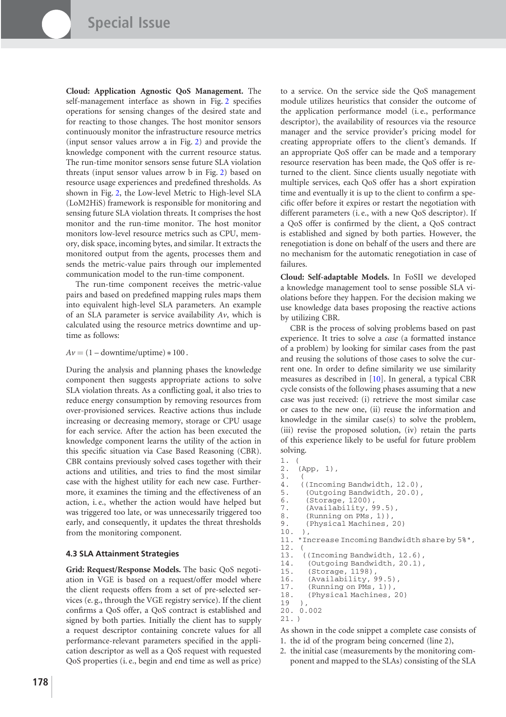**Cloud: Application Agnostic QoS Management.** The self-management interface as shown in Fig. [2](#page-3-1) specifies operations for sensing changes of the desired state and for reacting to those changes. The host monitor sensors continuously monitor the infrastructure resource metrics (input sensor values arrow a in Fig. [2\)](#page-3-1) and provide the knowledge component with the current resource status. The run-time monitor sensors sense future SLA violation threats (input sensor values arrow b in Fig. [2\)](#page-3-1) based on resource usage experiences and predefined thresholds. As shown in Fig. [2,](#page-3-1) the Low-level Metric to High-level SLA (LoM2HiS) framework is responsible for monitoring and sensing future SLA violation threats. It comprises the host monitor and the run-time monitor. The host monitor monitors low-level resource metrics such as CPU, memory, disk space, incoming bytes, and similar. It extracts the monitored output from the agents, processes them and sends the metric-value pairs through our implemented communication model to the run-time component.

The run-time component receives the metric-value pairs and based on predefined mapping rules maps them into equivalent high-level SLA parameters. An example of an SLA parameter is service availability *Av*, which is calculated using the resource metrics downtime and uptime as follows:

 $Av = (1 - \text{downtime} / \text{uptime}) * 100$ .

During the analysis and planning phases the knowledge component then suggests appropriate actions to solve SLA violation threats. As a conflicting goal, it also tries to reduce energy consumption by removing resources from over-provisioned services. Reactive actions thus include increasing or decreasing memory, storage or CPU usage for each service. After the action has been executed the knowledge component learns the utility of the action in this specific situation via Case Based Reasoning (CBR). CBR contains previously solved cases together with their actions and utilities, and tries to find the most similar case with the highest utility for each new case. Furthermore, it examines the timing and the effectiveness of an action, i. e., whether the action would have helped but was triggered too late, or was unnecessarily triggered too early, and consequently, it updates the threat thresholds from the monitoring component.

#### **4.3 SLA Attainment Strategies**

**Grid: Request/Response Models.** The basic QoS negotiation in VGE is based on a request/offer model where the client requests offers from a set of pre-selected services (e. g., through the VGE registry service). If the client confirms a QoS offer, a QoS contract is established and signed by both parties. Initially the client has to supply a request descriptor containing concrete values for all performance-relevant parameters specified in the application descriptor as well as a QoS request with requested QoS properties (i. e., begin and end time as well as price) to a service. On the service side the QoS management module utilizes heuristics that consider the outcome of the application performance model (i. e., performance descriptor), the availability of resources via the resource manager and the service provider's pricing model for creating appropriate offers to the client's demands. If an appropriate QoS offer can be made and a temporary resource reservation has been made, the QoS offer is returned to the client. Since clients usually negotiate with multiple services, each QoS offer has a short expiration time and eventually it is up to the client to confirm a specific offer before it expires or restart the negotiation with different parameters (i. e., with a new QoS descriptor). If a QoS offer is confirmed by the client, a QoS contract is established and signed by both parties. However, the renegotiation is done on behalf of the users and there are no mechanism for the automatic renegotiation in case of failures.

**Cloud: Self-adaptable Models.** In FoSII we developed a knowledge management tool to sense possible SLA violations before they happen. For the decision making we use knowledge data bases proposing the reactive actions by utilizing CBR.

CBR is the process of solving problems based on past experience. It tries to solve a *case* (a formatted instance of a problem) by looking for similar cases from the past and reusing the solutions of those cases to solve the current one. In order to define similarity we use similarity measures as described in [\[10\]](#page-6-16). In general, a typical CBR cycle consists of the following phases assuming that a new case was just received: (i) retrieve the most similar case or cases to the new one, (ii) reuse the information and knowledge in the similar case(s) to solve the problem, (iii) revise the proposed solution, (iv) retain the parts of this experience likely to be useful for future problem solving. 1. (

```
2. (App, 1),
3.4.4. ((Incoming Bandwidth, 12.0),
5. (Outgoing Bandwidth, 20.0),<br>6. (Storage. 1200).
       6. (Storage, 1200),
7. (Availability, 99.5),
8. (Running on PMs, 1)),<br>9. (Physical Machines,
       9. (Physical Machines, 20)
10. ),
11. "Increase Incoming Bandwidth share by 5%",
12. (
13. ((Incoming Bandwidth, 12.6),
14. (Outgoing Bandwidth, 20.1),<br>15. (Storage, 1198),
        15. (Storage, 1198),
16. (Availability, 99.5),
17. (Running on PMs, 1)),<br>18. (Physical Machines,
        (Physical Machines, 20)
```

```
19)
```

```
20. 0.002
```
21. )

As shown in the code snippet a complete case consists of 1. the id of the program being concerned (line 2),

- 
- 2. the initial case (measurements by the monitoring component and mapped to the SLAs) consisting of the SLA